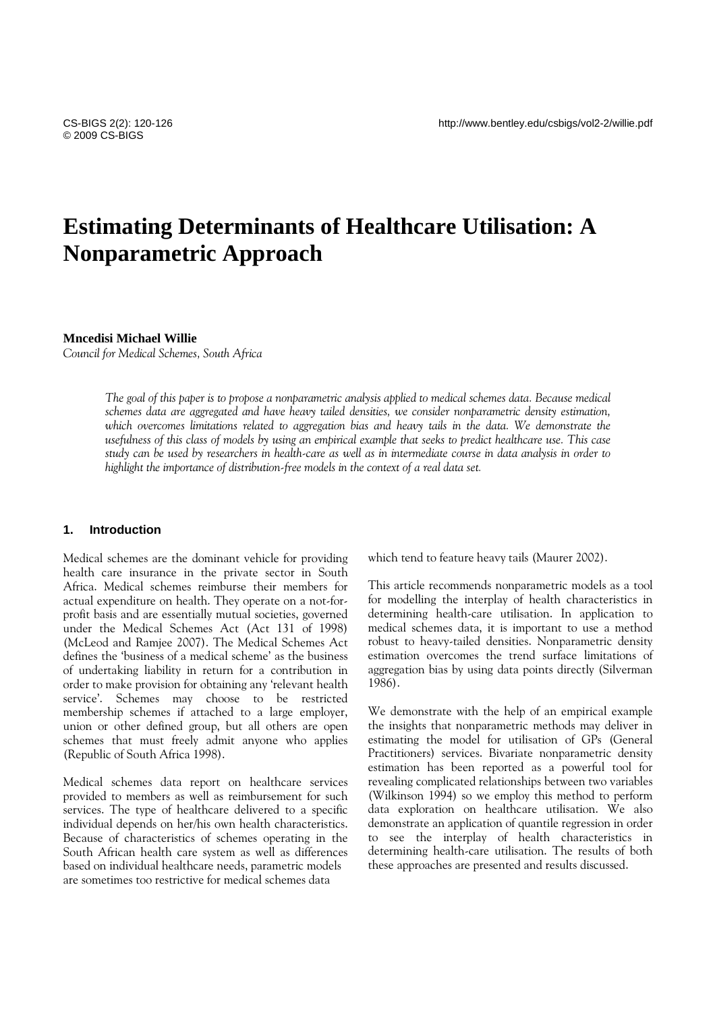# **Estimating Determinants of Healthcare Utilisation: A Nonparametric Approach**

# **Mncedisi Michael Willie**

*Council for Medical Schemes, South Africa* 

*The goal of this paper is to propose a nonparametric analysis applied to medical schemes data. Because medical schemes data are aggregated and have heavy tailed densities, we consider nonparametric density estimation,*  which overcomes limitations related to aggregation bias and heavy tails in the data. We demonstrate the *usefulness of this class of models by using an empirical example that seeks to predict healthcare use. This case study can be used by researchers in health-care as well as in intermediate course in data analysis in order to highlight the importance of distribution-free models in the context of a real data set.* 

# **1. Introduction**

Medical schemes are the dominant vehicle for providing health care insurance in the private sector in South Africa. Medical schemes reimburse their members for actual expenditure on health. They operate on a not-forprofit basis and are essentially mutual societies, governed under the Medical Schemes Act (Act 131 of 1998) (McLeod and Ramjee 2007). The Medical Schemes Act defines the 'business of a medical scheme' as the business of undertaking liability in return for a contribution in order to make provision for obtaining any 'relevant health service'. Schemes may choose to be restricted membership schemes if attached to a large employer, union or other defined group, but all others are open schemes that must freely admit anyone who applies (Republic of South Africa 1998).

Medical schemes data report on healthcare services provided to members as well as reimbursement for such services. The type of healthcare delivered to a specific individual depends on her/his own health characteristics. Because of characteristics of schemes operating in the South African health care system as well as differences based on individual healthcare needs, parametric models are sometimes too restrictive for medical schemes data

which tend to feature heavy tails (Maurer 2002).

This article recommends nonparametric models as a tool for modelling the interplay of health characteristics in determining health-care utilisation. In application to medical schemes data, it is important to use a method robust to heavy-tailed densities. Nonparametric density estimation overcomes the trend surface limitations of aggregation bias by using data points directly (Silverman 1986).

We demonstrate with the help of an empirical example the insights that nonparametric methods may deliver in estimating the model for utilisation of GPs (General Practitioners) services. Bivariate nonparametric density estimation has been reported as a powerful tool for revealing complicated relationships between two variables (Wilkinson 1994) so we employ this method to perform data exploration on healthcare utilisation. We also demonstrate an application of quantile regression in order to see the interplay of health characteristics in determining health-care utilisation. The results of both these approaches are presented and results discussed.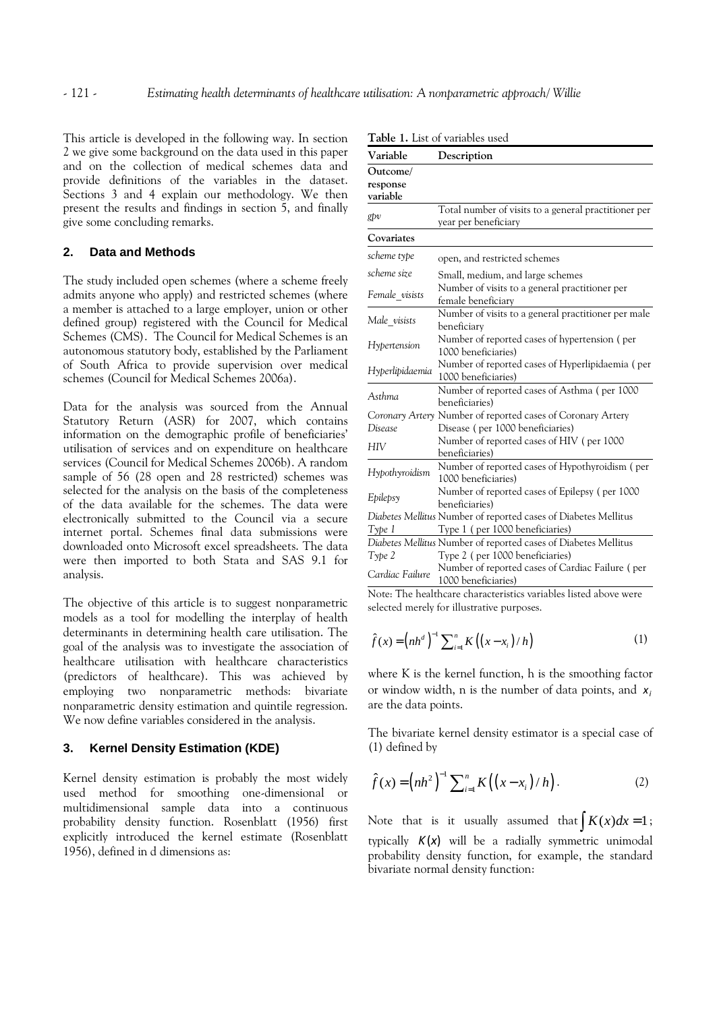This article is developed in the following way. In section 2 we give some background on the data used in this paper and on the collection of medical schemes data and provide definitions of the variables in the dataset. Sections 3 and 4 explain our methodology. We then present the results and findings in section 5, and finally give some concluding remarks.

# **2. Data and Methods**

The study included open schemes (where a scheme freely admits anyone who apply) and restricted schemes (where a member is attached to a large employer, union or other defined group) registered with the Council for Medical Schemes (CMS). The Council for Medical Schemes is an autonomous statutory body, established by the Parliament of South Africa to provide supervision over medical schemes (Council for Medical Schemes 2006a).

Data for the analysis was sourced from the Annual Statutory Return (ASR) for 2007, which contains information on the demographic profile of beneficiaries' utilisation of services and on expenditure on healthcare services (Council for Medical Schemes 2006b). A random sample of 56 (28 open and 28 restricted) schemes was selected for the analysis on the basis of the completeness of the data available for the schemes. The data were electronically submitted to the Council via a secure internet portal. Schemes final data submissions were downloaded onto Microsoft excel spreadsheets. The data were then imported to both Stata and SAS 9.1 for analysis.

The objective of this article is to suggest nonparametric models as a tool for modelling the interplay of health determinants in determining health care utilisation. The goal of the analysis was to investigate the association of healthcare utilisation with healthcare characteristics (predictors of healthcare). This was achieved by employing two nonparametric methods: bivariate nonparametric density estimation and quintile regression. We now define variables considered in the analysis.

# **3. Kernel Density Estimation (KDE)**

Kernel density estimation is probably the most widely used method for smoothing one-dimensional or multidimensional sample data into a continuous probability density function. Rosenblatt (1956) first explicitly introduced the kernel estimate (Rosenblatt 1956), defined in d dimensions as:

| <b>I able 1.</b> List of variables used |                                                                 |  |  |  |
|-----------------------------------------|-----------------------------------------------------------------|--|--|--|
| Variable                                | Description                                                     |  |  |  |
| Outcome/                                |                                                                 |  |  |  |
| response                                |                                                                 |  |  |  |
| variable                                |                                                                 |  |  |  |
|                                         | Total number of visits to a general practitioner per            |  |  |  |
| gþν                                     | year per beneficiary                                            |  |  |  |
| Covariates                              |                                                                 |  |  |  |
| scheme type                             | open, and restricted schemes                                    |  |  |  |
| scheme size                             | Small, medium, and large schemes                                |  |  |  |
|                                         | Number of visits to a general practitioner per                  |  |  |  |
| Female_visists                          | female beneficiary                                              |  |  |  |
|                                         | Number of visits to a general practitioner per male             |  |  |  |
| Male visists                            | beneficiary                                                     |  |  |  |
|                                         | Number of reported cases of hypertension (per                   |  |  |  |
| Hypertension                            | 1000 beneficiaries)                                             |  |  |  |
|                                         | Number of reported cases of Hyperlipidaemia (per                |  |  |  |
| Hyperlipidaemia                         | 1000 beneficiaries)                                             |  |  |  |
| Asthma                                  | Number of reported cases of Asthma (per 1000                    |  |  |  |
|                                         | beneficiaries)                                                  |  |  |  |
|                                         | Coronary Artery Number of reported cases of Coronary Artery     |  |  |  |
| Disease                                 | Disease (per 1000 beneficiaries)                                |  |  |  |
| HIV                                     | Number of reported cases of HIV (per 1000                       |  |  |  |
|                                         | beneficiaries)                                                  |  |  |  |
| Hypothyroidism                          | Number of reported cases of Hypothyroidism (per                 |  |  |  |
|                                         | 1000 beneficiaries)                                             |  |  |  |
|                                         | Number of reported cases of Epilepsy (per 1000                  |  |  |  |
| Epilepsy                                | beneficiaries)                                                  |  |  |  |
|                                         | Diabetes Mellitus Number of reported cases of Diabetes Mellitus |  |  |  |
| Type 1                                  | Type 1 (per 1000 beneficiaries)                                 |  |  |  |
|                                         | Diabetes Mellitus Number of reported cases of Diabetes Mellitus |  |  |  |
| Type 2                                  | Type 2 (per 1000 beneficiaries)                                 |  |  |  |
| Cardiac Failure                         | Number of reported cases of Cardiac Failure (per                |  |  |  |
|                                         | 1000 beneficiaries)                                             |  |  |  |

**Table 1.** List of variables used

Note: The healthcare characteristics variables listed above were selected merely for illustrative purposes.

$$
\hat{f}(x) = (nh^d)^{-1} \sum_{i=1}^n K((x - x_i) / h)
$$
\n(1)

where K is the kernel function, h is the smoothing factor or window width, n is the number of data points, and  $x_i$ are the data points.

The bivariate kernel density estimator is a special case of (1) defined by

$$
\hat{f}(x) = (nh^2)^{-1} \sum_{i=1}^{n} K((x - x_i) / h).
$$
 (2)

Note that is it usually assumed that  $\int K(x) dx = 1$ ; typically *K*(*x*) will be a radially symmetric unimodal probability density function, for example, the standard bivariate normal density function: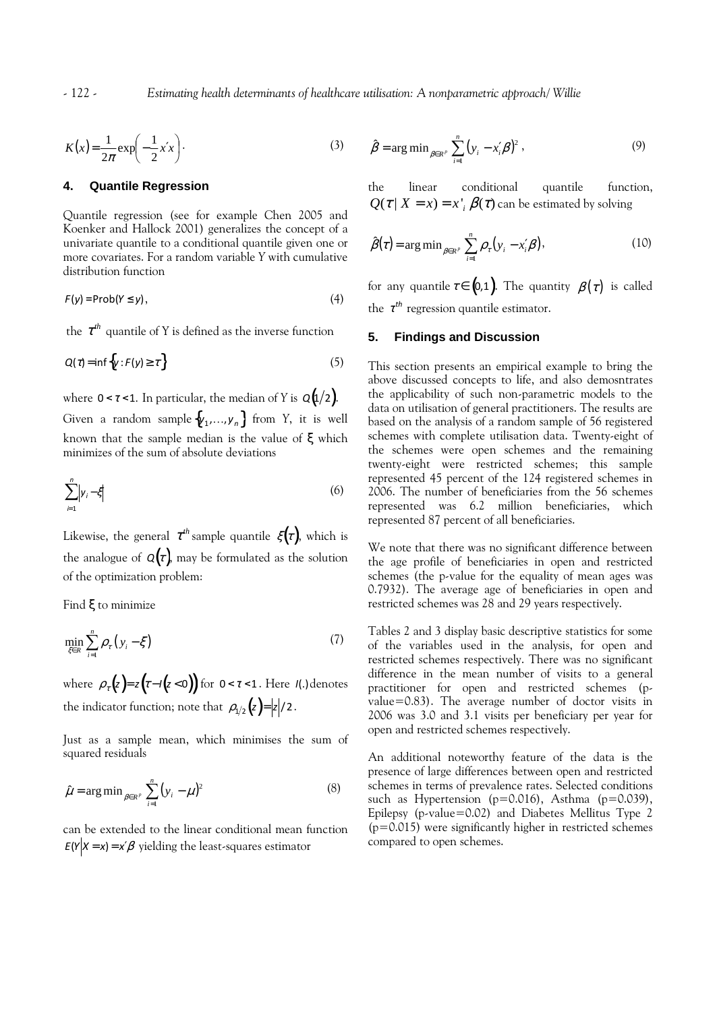- 122 - *Estimating health determinants of healthcare utilisation: A nonparametric approach/ Willie*

$$
K(x) = \frac{1}{2\pi} \exp\left(-\frac{1}{2}x'x\right).
$$
 (3)

# **4. Quantile Regression**

Quantile regression (see for example Chen 2005 and Koenker and Hallock 2001) generalizes the concept of a univariate quantile to a conditional quantile given one or more covariates. For a random variable *Y* with cumulative distribution function

$$
F(y) = \text{Prob}(Y \le y),\tag{4}
$$

the  $\tau^{th}$  quantile of Y is defined as the inverse function

$$
Q(\tau) = \inf \{ y : F(y) \ge \tau \} \tag{5}
$$

where  $0 < \tau < 1$ . In particular, the median of *Y* is  $Q(1/2)$ . Given a random sample  $\{y_1, \ldots, y_n\}$  from *Y*, it is well known that the sample median is the value of ξ which minimizes of the sum of absolute deviations

$$
\sum_{i=1}^{n} \left| y_i - \xi \right| \tag{6}
$$

Likewise, the general  $\tau^{th}$  sample quantile  $\xi(\tau)$ , which is the analogue of  $Q(\tau)$ , may be formulated as the solution of the optimization problem:

Find ξ to minimize

$$
\min_{\zeta \in R} \sum_{i=1}^{n} \rho_{\tau} (y_i - \xi) \tag{7}
$$

where  $\rho_{\tau}(z) = z(z - I(z < 0))$  for  $0 < \tau < 1$ . Here  $I(.)$  denotes the indicator function; note that  $\rho_{1/2}(z) = |z|/2$ .

Just as a sample mean, which minimises the sum of squared residuals

$$
\hat{\mu} = \arg \min_{\beta \in R^p} \sum_{i=1}^n (y_i - \mu)^2
$$
 (8)

can be extended to the linear conditional mean function  $E(Y|X=x) = x'\beta$  yielding the least-squares estimator

$$
\hat{\beta} = \arg \min_{\beta \in R^p} \sum_{i=1}^n (y_i - x_i' \beta)^2 , \qquad (9)
$$

the linear conditional quantile function,  $Q(\tau | X = x) = x \frac{1}{\tau} \beta(\tau)$  can be estimated by solving

$$
\hat{\beta}(\tau) = \arg \min_{\beta \in R^p} \sum_{i=1}^n \rho_{\tau} (y_i - x'_i \beta), \qquad (10)
$$

for any quantile  $\tau \in (0,1)$ . The quantity  $\beta(\tau)$  is called the  $\tau^{th}$  regression quantile estimator.

### **5. Findings and Discussion**

This section presents an empirical example to bring the above discussed concepts to life, and also demosntrates the applicability of such non-parametric models to the data on utilisation of general practitioners. The results are based on the analysis of a random sample of 56 registered schemes with complete utilisation data. Twenty-eight of the schemes were open schemes and the remaining twenty-eight were restricted schemes; this sample represented 45 percent of the 124 registered schemes in 2006. The number of beneficiaries from the 56 schemes represented was 6.2 million beneficiaries, which represented 87 percent of all beneficiaries.

We note that there was no significant difference between the age profile of beneficiaries in open and restricted schemes (the p-value for the equality of mean ages was 0.7932). The average age of beneficiaries in open and restricted schemes was 28 and 29 years respectively.

Tables 2 and 3 display basic descriptive statistics for some of the variables used in the analysis, for open and restricted schemes respectively. There was no significant difference in the mean number of visits to a general practitioner for open and restricted schemes (pvalue=0.83). The average number of doctor visits in 2006 was 3.0 and 3.1 visits per beneficiary per year for open and restricted schemes respectively.

An additional noteworthy feature of the data is the presence of large differences between open and restricted schemes in terms of prevalence rates. Selected conditions such as Hypertension (p=0.016), Asthma (p=0.039), Epilepsy (p-value=0.02) and Diabetes Mellitus Type 2 (p=0.015) were significantly higher in restricted schemes compared to open schemes.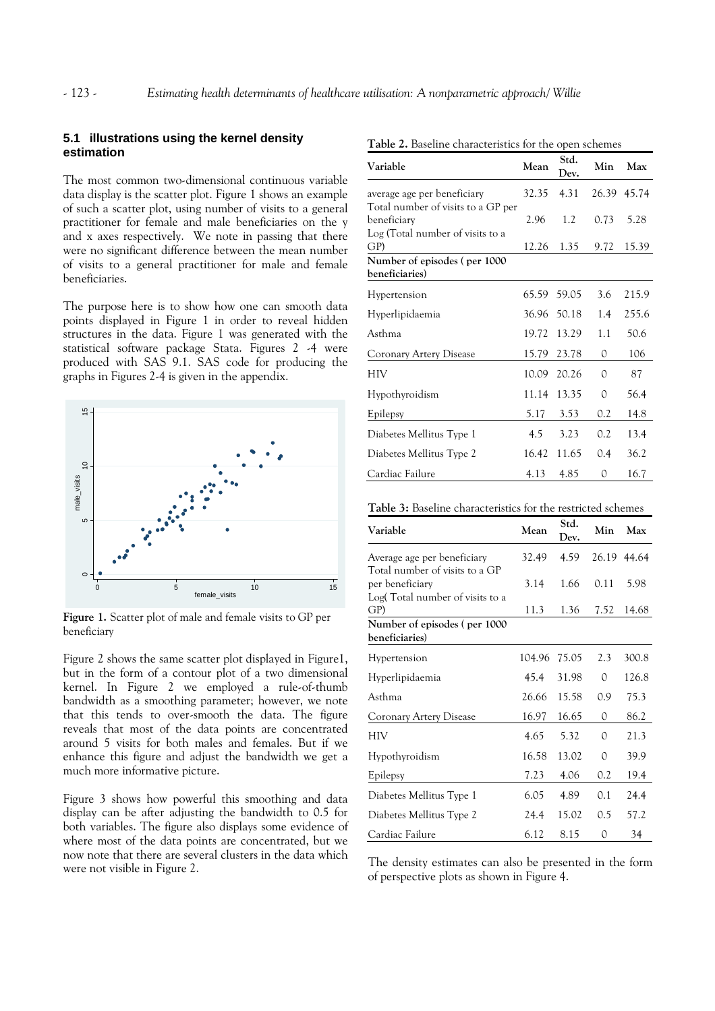# **5.1 illustrations using the kernel density estimation**

The most common two-dimensional continuous variable data display is the scatter plot. Figure 1 shows an example of such a scatter plot, using number of visits to a general practitioner for female and male beneficiaries on the y and x axes respectively. We note in passing that there were no significant difference between the mean number of visits to a general practitioner for male and female beneficiaries.

The purpose here is to show how one can smooth data points displayed in Figure 1 in order to reveal hidden structures in the data. Figure 1 was generated with the statistical software package Stata. Figures 2 -4 were produced with SAS 9.1. SAS code for producing the graphs in Figures 2-4 is given in the appendix.



**Figure 1.** Scatter plot of male and female visits to GP per beneficiary

Figure 2 shows the same scatter plot displayed in Figure1, but in the form of a contour plot of a two dimensional kernel. In Figure 2 we employed a rule-of-thumb bandwidth as a smoothing parameter; however, we note that this tends to over-smooth the data. The figure reveals that most of the data points are concentrated around 5 visits for both males and females. But if we enhance this figure and adjust the bandwidth we get a much more informative picture.

Figure 3 shows how powerful this smoothing and data display can be after adjusting the bandwidth to 0.5 for both variables. The figure also displays some evidence of where most of the data points are concentrated, but we now note that there are several clusters in the data which were not visible in Figure 2.

| Variable                                                                              | Mean  | Std.<br>Dev. | Min      | Max   |
|---------------------------------------------------------------------------------------|-------|--------------|----------|-------|
| average age per beneficiary                                                           | 32.35 | 4.31         | 26.39    | 45.74 |
| Total number of visits to a GP per<br>beneficiary<br>Log (Total number of visits to a | 2.96  | 1.2          | 0.73     | 5.28  |
| GP)                                                                                   | 12.26 | 1.35         | 9.72     | 15.39 |
| Number of episodes (per 1000<br>beneficiaries)                                        |       |              |          |       |
| Hypertension                                                                          | 65.59 | 59.05        | 3.6      | 215.9 |
| Hyperlipidaemia                                                                       | 36.96 | 50.18        | 1.4      | 255.6 |
| Asthma                                                                                | 19.72 | 13.29        | 1.1      | 50.6  |
| Coronary Artery Disease                                                               | 15.79 | 23.78        | 0        | 106   |
| HIV                                                                                   | 10.09 | 20.26        | 0        | 87    |
| Hypothyroidism                                                                        | 11.14 | 13.35        | $\Omega$ | 56.4  |
| Epilepsy                                                                              | 5.17  | 3.53         | 0.2      | 14.8  |
| Diabetes Mellitus Type 1                                                              | 4.5   | 3.23         | 0.2      | 13.4  |
| Diabetes Mellitus Type 2                                                              | 16.42 | 11.65        | 0.4      | 36.2  |
| Cardiac Failure                                                                       | 4.13  | 4.85         | 0        | 16.7  |

**Table 2.** Baseline characteristics for the open schemes

| <b>Table 3:</b> Baseline characteristics for the restricted schemes |  |
|---------------------------------------------------------------------|--|
|---------------------------------------------------------------------|--|

| Variable                                                                             | Mean   | Std.<br>Dev. | Min  | Max         |
|--------------------------------------------------------------------------------------|--------|--------------|------|-------------|
| Average age per beneficiary                                                          | 32.49  | 4.59         |      | 26.19 44.64 |
| Total number of visits to a GP<br>per beneficiary<br>Log(Total number of visits to a | 3.14   | 1.66         | 0.11 | 5.98        |
| GP)                                                                                  | 11.3   | 1.36         | 7.52 | 14.68       |
| Number of episodes (per 1000<br>beneficiaries)                                       |        |              |      |             |
| Hypertension                                                                         | 104.96 | 75.05        | 2.3  | 300.8       |
| Hyperlipidaemia                                                                      | 45.4   | 31.98        | 0    | 126.8       |
| Asthma                                                                               | 26.66  | 15.58        | 0.9  | 75.3        |
| Coronary Artery Disease                                                              | 16.97  | 16.65        | 0    | 86.2        |
| HIV                                                                                  | 4.65   | 5.32         | 0    | 21.3        |
| Hypothyroidism                                                                       | 16.58  | 13.02        | 0    | 39.9        |
| <b>Epilepsy</b>                                                                      | 7.23   | 4.06         | 0.2  | 19.4        |
| Diabetes Mellitus Type 1                                                             | 6.05   | 4.89         | 0.1  | 24.4        |
| Diabetes Mellitus Type 2                                                             | 24.4   | 15.02        | 0.5  | 57.2        |
| Cardiac Failure                                                                      | 6.12   | 8.15         | 0    | 34          |

The density estimates can also be presented in the form of perspective plots as shown in Figure 4.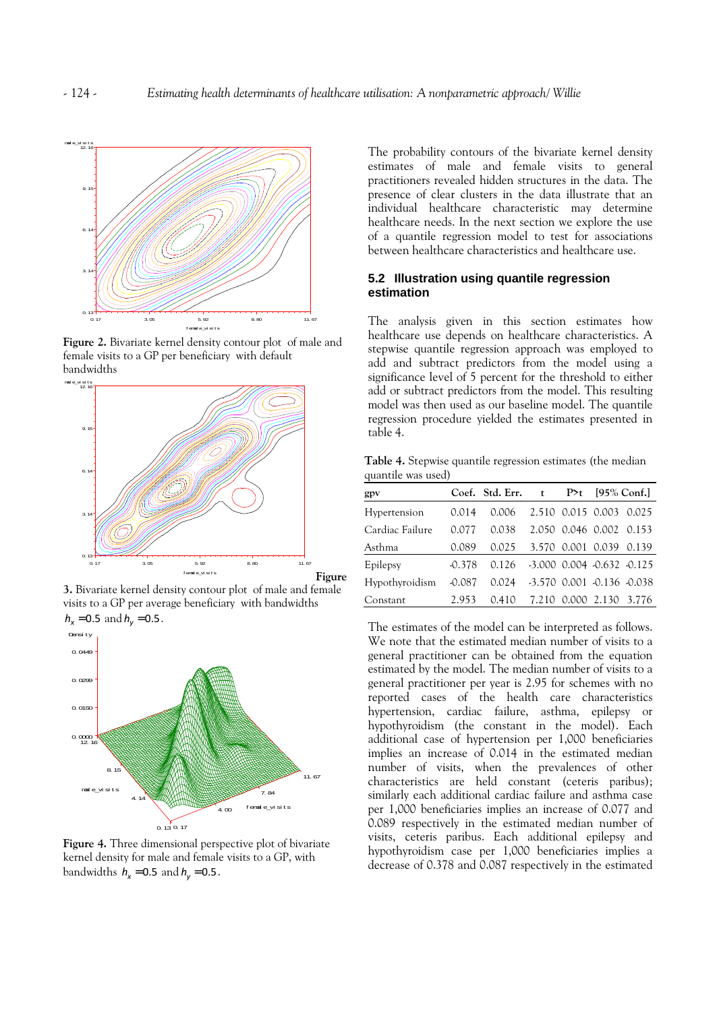

**Figure 2.** Bivariate kernel density contour plot of male and female visits to a GP per beneficiary with default bandwidths



**3.** Bivariate kernel density contour plot of male and female visits to a GP per average beneficiary with bandwidths



**Figure 4.** Three dimensional perspective plot of bivariate kernel density for male and female visits to a GP, with bandwidths  $h_x = 0.5$  and  $h_y = 0.5$ .

The probability contours of the bivariate kernel density estimates of male and female visits to general practitioners revealed hidden structures in the data. The presence of clear clusters in the data illustrate that an individual healthcare characteristic may determine healthcare needs. In the next section we explore the use of a quantile regression model to test for associations between healthcare characteristics and healthcare use.

# **5.2 Illustration using quantile regression estimation**

The analysis given in this section estimates how healthcare use depends on healthcare characteristics. A stepwise quantile regression approach was employed to add and subtract predictors from the model using a significance level of 5 percent for the threshold to either add or subtract predictors from the model. This resulting model was then used as our baseline model. The quantile regression procedure yielded the estimates presented in table 4.

**Table 4.** Stepwise quantile regression estimates (the median quantile was used)

| gpv             |          | Coef. Std. Err. | $\mathbf{t}$ | $P>t$ [95% Conf.]                |  |
|-----------------|----------|-----------------|--------------|----------------------------------|--|
| Hypertension    | 0.014    | 0.006           |              | 2.510 0.015 0.003 0.025          |  |
| Cardiac Failure | 0.077    | 0.038           |              | 2.050 0.046 0.002 0.153          |  |
| Asthma          | 0.089    | 0.025           |              | 3.570 0.001 0.039 0.139          |  |
| Epilepsy        | $-0.378$ | 0.126           |              | $-3.000$ 0.004 $-0.632$ $-0.125$ |  |
| Hypothyroidism  | $-0.087$ | 0.024           |              | $-3.570$ 0.001 $-0.136$ $-0.038$ |  |
| Constant        | 2.953    | 0.410           | 7.210        | 0.000 2.130 3.776                |  |

The estimates of the model can be interpreted as follows. We note that the estimated median number of visits to a general practitioner can be obtained from the equation estimated by the model. The median number of visits to a general practitioner per year is 2.95 for schemes with no reported cases of the health care characteristics hypertension, cardiac failure, asthma, epilepsy or hypothyroidism (the constant in the model). Each additional case of hypertension per 1,000 beneficiaries implies an increase of 0.014 in the estimated median number of visits, when the prevalences of other characteristics are held constant (ceteris paribus); similarly each additional cardiac failure and asthma case per 1,000 beneficiaries implies an increase of 0.077 and 0.089 respectively in the estimated median number of visits, ceteris paribus. Each additional epilepsy and hypothyroidism case per 1,000 beneficiaries implies a decrease of 0.378 and 0.087 respectively in the estimated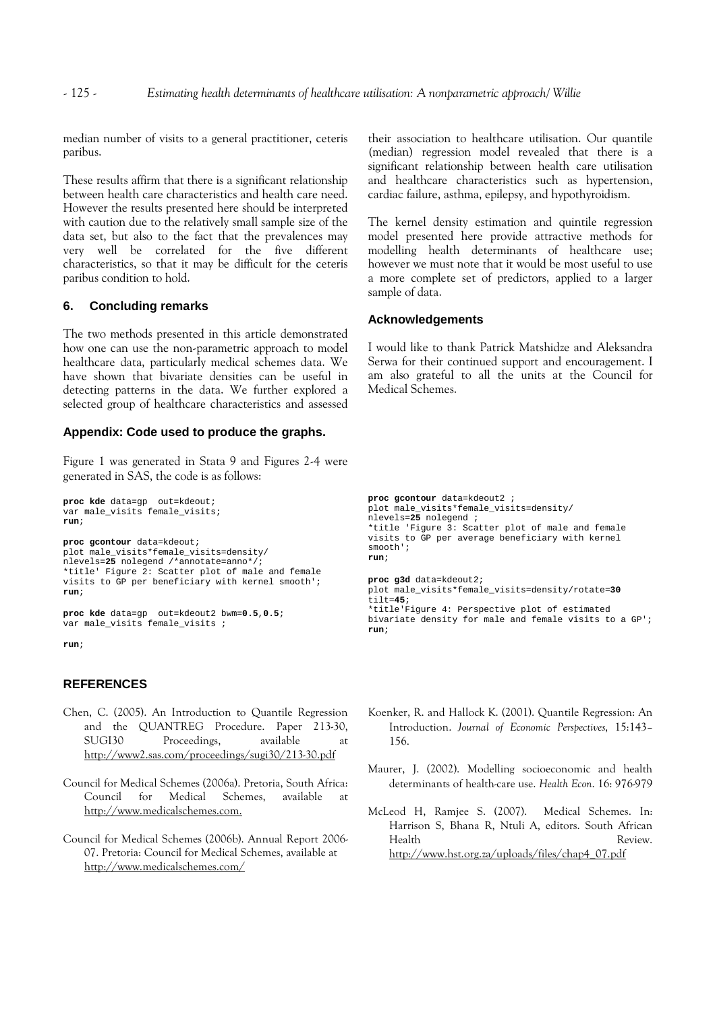median number of visits to a general practitioner, ceteris paribus.

These results affirm that there is a significant relationship between health care characteristics and health care need. However the results presented here should be interpreted with caution due to the relatively small sample size of the data set, but also to the fact that the prevalences may very well be correlated for the five different characteristics, so that it may be difficult for the ceteris paribus condition to hold.

#### **6. Concluding remarks**

The two methods presented in this article demonstrated how one can use the non-parametric approach to model healthcare data, particularly medical schemes data. We have shown that bivariate densities can be useful in detecting patterns in the data. We further explored a selected group of healthcare characteristics and assessed

# **Appendix: Code used to produce the graphs.**

Figure 1 was generated in Stata 9 and Figures 2-4 were generated in SAS, the code is as follows:

```
proc kde data=gp out=kdeout; 
var male_visits female_visits; 
run;
```
**proc gcontour** data=kdeout; plot male\_visits\*female\_visits=density/ nlevels=**25** nolegend /\*annotate=anno\*/; \*title' Figure 2: Scatter plot of male and female visits to GP per beneficiary with kernel smooth'; **run**;

```
proc kde data=gp out=kdeout2 bwm=0.5,0.5; 
var male_visits female_visits ;
```
**run**;

# **REFERENCES**

- Chen, C. (2005). An Introduction to Quantile Regression and the QUANTREG Procedure. Paper 213-30, SUGI30 Proceedings, available at http://www2.sas.com/proceedings/sugi30/213-30.pdf
- Council for Medical Schemes (2006a). Pretoria, South Africa: Council for Medical Schemes, available at http://www.medicalschemes.com.
- Council for Medical Schemes (2006b). Annual Report 2006- 07. Pretoria: Council for Medical Schemes, available at http://www.medicalschemes.com/

their association to healthcare utilisation. Our quantile (median) regression model revealed that there is a significant relationship between health care utilisation and healthcare characteristics such as hypertension, cardiac failure, asthma, epilepsy, and hypothyroidism.

The kernel density estimation and quintile regression model presented here provide attractive methods for modelling health determinants of healthcare use; however we must note that it would be most useful to use a more complete set of predictors, applied to a larger sample of data.

#### **Acknowledgements**

**run**;

I would like to thank Patrick Matshidze and Aleksandra Serwa for their continued support and encouragement. I am also grateful to all the units at the Council for Medical Schemes.

```
proc gcontour data=kdeout2 ; 
plot male_visits*female_visits=density/ 
nlevels=25 nolegend ; 
*title 'Figure 3: Scatter plot of male and female 
visits to GP per average beneficiary with kernel 
smooth'; 
run; 
proc g3d data=kdeout2; 
plot male_visits*female_visits=density/rotate=30
tilt=45; 
*title'Figure 4: Perspective plot of estimated 
bivariate density for male and female visits to a GP';
```
- Koenker, R. and Hallock K. (2001). Quantile Regression: An Introduction. *Journal of Economic Perspectives*, 15:143– 156.
- Maurer, J. (2002). Modelling socioeconomic and health determinants of health-care use. *Health Econ*. 16: 976-979
- McLeod H, Ramjee S. (2007). Medical Schemes. In: Harrison S, Bhana R, Ntuli A, editors. South African Health Review. http://www.hst.org.za/uploads/files/chap4\_07.pdf